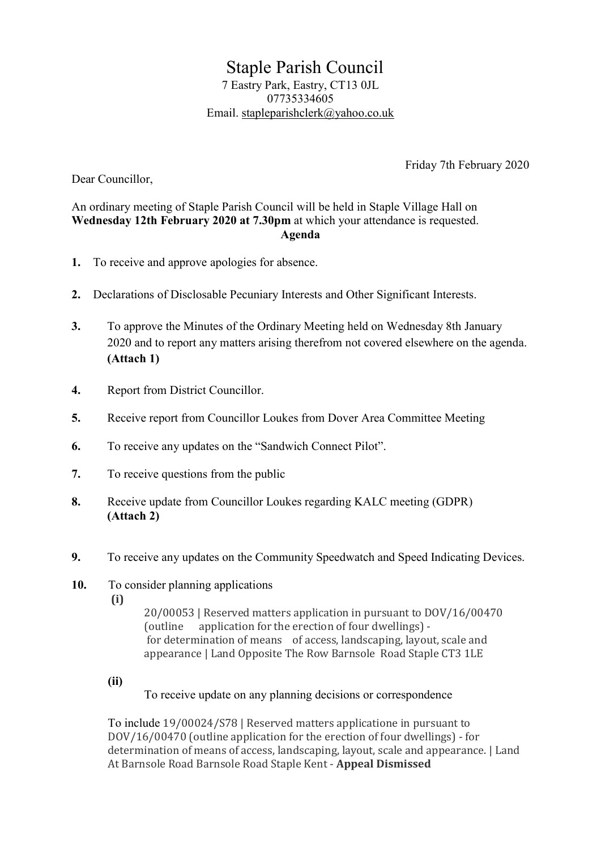Staple Parish Council 7 Eastry Park, Eastry, CT13 0JL 07735334605 Email. stapleparishclerk@yahoo.co.uk

Friday 7th February 2020

Dear Councillor,

## An ordinary meeting of Staple Parish Council will be held in Staple Village Hall on Wednesday 12th February 2020 at 7.30pm at which your attendance is requested. Agenda

- 1. To receive and approve apologies for absence.
- 2. Declarations of Disclosable Pecuniary Interests and Other Significant Interests.
- 3. To approve the Minutes of the Ordinary Meeting held on Wednesday 8th January 2020 and to report any matters arising therefrom not covered elsewhere on the agenda. (Attach 1)
- 4. Report from District Councillor.
- 5. Receive report from Councillor Loukes from Dover Area Committee Meeting
- 6. To receive any updates on the "Sandwich Connect Pilot".
- 7. To receive questions from the public
- 8. Receive update from Councillor Loukes regarding KALC meeting (GDPR) (Attach 2)
- 9. To receive any updates on the Community Speedwatch and Speed Indicating Devices.
- 10. To consider planning applications
	- (i)

 20/00053 | Reserved matters application in pursuant to DOV/16/00470 (outline application for the erection of four dwellings) for determination of means of access, landscaping, layout, scale and appearance | Land Opposite The Row Barnsole Road Staple CT3 1LE

(ii)

To receive update on any planning decisions or correspondence

To include 19/00024/S78 | Reserved matters applicatione in pursuant to DOV/16/00470 (outline application for the erection of four dwellings) - for determination of means of access, landscaping, layout, scale and appearance. | Land At Barnsole Road Barnsole Road Staple Kent - Appeal Dismissed